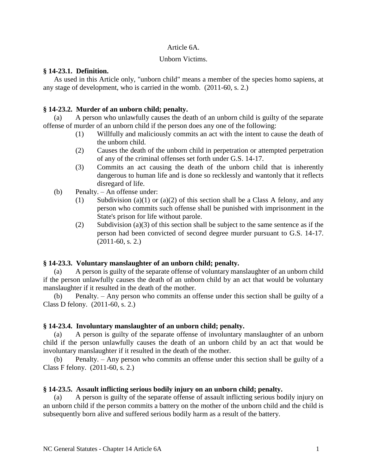#### Article 6A.

#### Unborn Victims.

### **§ 14-23.1. Definition.**

As used in this Article only, "unborn child" means a member of the species homo sapiens, at any stage of development, who is carried in the womb. (2011-60, s. 2.)

# **§ 14-23.2. Murder of an unborn child; penalty.**

(a) A person who unlawfully causes the death of an unborn child is guilty of the separate offense of murder of an unborn child if the person does any one of the following:

- (1) Willfully and maliciously commits an act with the intent to cause the death of the unborn child.
- (2) Causes the death of the unborn child in perpetration or attempted perpetration of any of the criminal offenses set forth under G.S. 14-17.
- (3) Commits an act causing the death of the unborn child that is inherently dangerous to human life and is done so recklessly and wantonly that it reflects disregard of life.
- (b) Penalty. An offense under:
	- (1) Subdivision (a)(1) or (a)(2) of this section shall be a Class A felony, and any person who commits such offense shall be punished with imprisonment in the State's prison for life without parole.
	- (2) Subdivision (a)(3) of this section shall be subject to the same sentence as if the person had been convicted of second degree murder pursuant to G.S. 14-17. (2011-60, s. 2.)

# **§ 14-23.3. Voluntary manslaughter of an unborn child; penalty.**

(a) A person is guilty of the separate offense of voluntary manslaughter of an unborn child if the person unlawfully causes the death of an unborn child by an act that would be voluntary manslaughter if it resulted in the death of the mother.

(b) Penalty. – Any person who commits an offense under this section shall be guilty of a Class D felony. (2011-60, s. 2.)

# **§ 14-23.4. Involuntary manslaughter of an unborn child; penalty.**

(a) A person is guilty of the separate offense of involuntary manslaughter of an unborn child if the person unlawfully causes the death of an unborn child by an act that would be involuntary manslaughter if it resulted in the death of the mother.

(b) Penalty. – Any person who commits an offense under this section shall be guilty of a Class F felony. (2011-60, s. 2.)

# **§ 14-23.5. Assault inflicting serious bodily injury on an unborn child; penalty.**

(a) A person is guilty of the separate offense of assault inflicting serious bodily injury on an unborn child if the person commits a battery on the mother of the unborn child and the child is subsequently born alive and suffered serious bodily harm as a result of the battery.